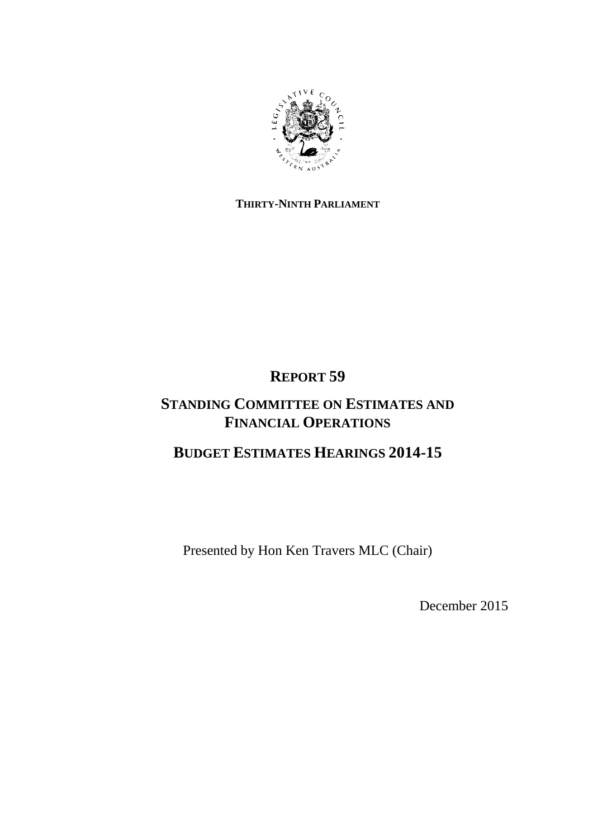

### **THIRTY-NINTH PARLIAMENT**

# **REPORT 59**

# **STANDING COMMITTEE ON ESTIMATES AND FINANCIAL OPERATIONS**

## **BUDGET ESTIMATES HEARINGS 2014-15**

Presented by Hon Ken Travers MLC (Chair)

December 2015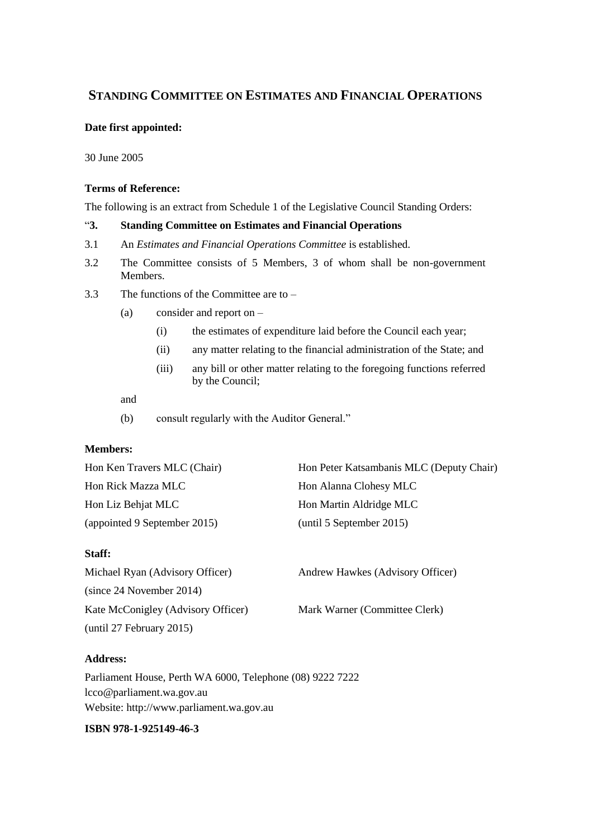### **STANDING COMMITTEE ON ESTIMATES AND FINANCIAL OPERATIONS**

#### **Date first appointed:**

30 June 2005

#### **Terms of Reference:**

The following is an extract from Schedule 1 of the Legislative Council Standing Orders:

#### "**3. Standing Committee on Estimates and Financial Operations**

- 3.1 An *Estimates and Financial Operations Committee* is established.
- 3.2 The Committee consists of 5 Members, 3 of whom shall be non-government Members.
- 3.3 The functions of the Committee are to
	- (a) consider and report on
		- (i) the estimates of expenditure laid before the Council each year;
		- (ii) any matter relating to the financial administration of the State; and
		- (iii) any bill or other matter relating to the foregoing functions referred by the Council;

#### and

(b) consult regularly with the Auditor General."

#### **Members:**

| Hon Ken Travers MLC (Chair)  | Hon Peter Katsambanis MLC (Deputy Chair) |
|------------------------------|------------------------------------------|
| Hon Rick Mazza MLC           | Hon Alanna Clohesy MLC                   |
| Hon Liz Behjat MLC           | Hon Martin Aldridge MLC                  |
| (appointed 9 September 2015) | (until 5 September 2015)                 |

#### **Staff:**

| Michael Ryan (Advisory Officer)    | Andrew Hawkes (Advisory Officer) |
|------------------------------------|----------------------------------|
| (since 24 November 2014)           |                                  |
| Kate McConigley (Advisory Officer) | Mark Warner (Committee Clerk)    |
| (until 27 February 2015)           |                                  |

#### **Address:**

Parliament House, Perth WA 6000, Telephone (08) 9222 7222 lcco@parliament.wa.gov.au Website: http://www.parliament.wa.gov.au

#### **ISBN [978-1-925149-46-3](https://www.myidentifiers.com.au/myaccount_manageisbns_titlereg?isbn=978-1-925149-46-3&icon_type=new)**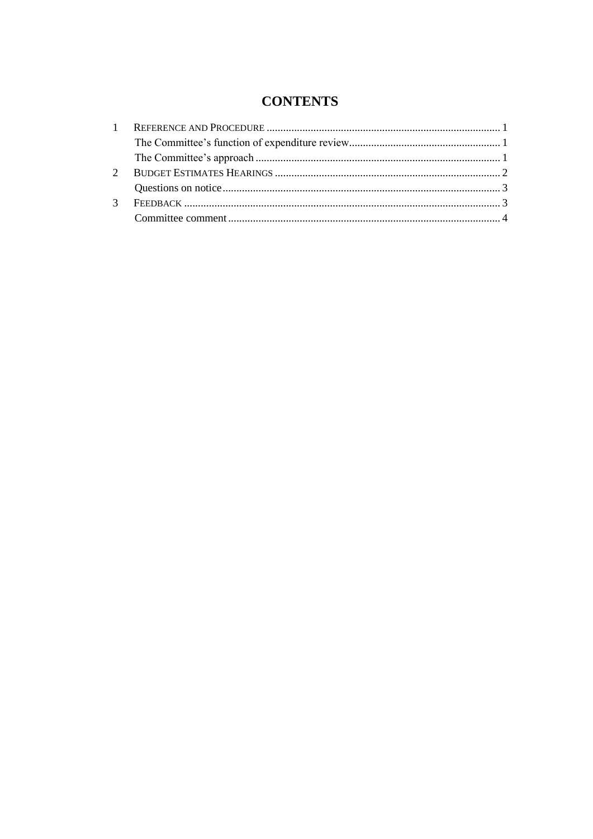## **CONTENTS**

| $\mathcal{R}$ |  |
|---------------|--|
|               |  |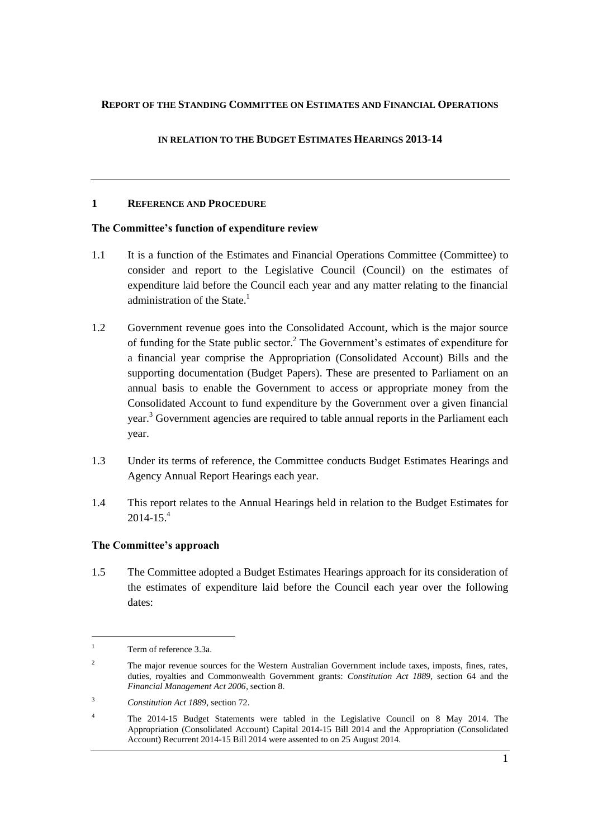#### **REPORT OF THE STANDING COMMITTEE ON ESTIMATES AND FINANCIAL OPERATIONS**

#### **IN RELATION TO THE BUDGET ESTIMATES HEARINGS 2013-14**

#### <span id="page-4-0"></span>**1 REFERENCE AND PROCEDURE**

#### <span id="page-4-1"></span>**The Committee's function of expenditure review**

- 1.1 It is a function of the Estimates and Financial Operations Committee (Committee) to consider and report to the Legislative Council (Council) on the estimates of expenditure laid before the Council each year and any matter relating to the financial administration of the State.<sup>1</sup>
- 1.2 Government revenue goes into the Consolidated Account, which is the major source of funding for the State public sector.<sup>2</sup> The Government's estimates of expenditure for a financial year comprise the Appropriation (Consolidated Account) Bills and the supporting documentation (Budget Papers). These are presented to Parliament on an annual basis to enable the Government to access or appropriate money from the Consolidated Account to fund expenditure by the Government over a given financial year.<sup>3</sup> Government agencies are required to table annual reports in the Parliament each year.
- 1.3 Under its terms of reference, the Committee conducts Budget Estimates Hearings and Agency Annual Report Hearings each year.
- 1.4 This report relates to the Annual Hearings held in relation to the Budget Estimates for  $2014 - 15<sup>4</sup>$

#### <span id="page-4-2"></span>**The Committee's approach**

1.5 The Committee adopted a Budget Estimates Hearings approach for its consideration of the estimates of expenditure laid before the Council each year over the following dates:

l

 $1$  Term of reference  $3.3a$ .

<sup>&</sup>lt;sup>2</sup> The major revenue sources for the Western Australian Government include taxes, imposts, fines, rates, duties, royalties and Commonwealth Government grants: *Constitution Act 1889*, section 64 and the *Financial Management Act 2006,* section 8.

<sup>3</sup> *Constitution Act 1889*, section 72.

<sup>4</sup> The 2014-15 Budget Statements were tabled in the Legislative Council on 8 May 2014. The Appropriation (Consolidated Account) Capital 2014-15 Bill 2014 and the Appropriation (Consolidated Account) Recurrent 2014-15 Bill 2014 were assented to on 25 August 2014.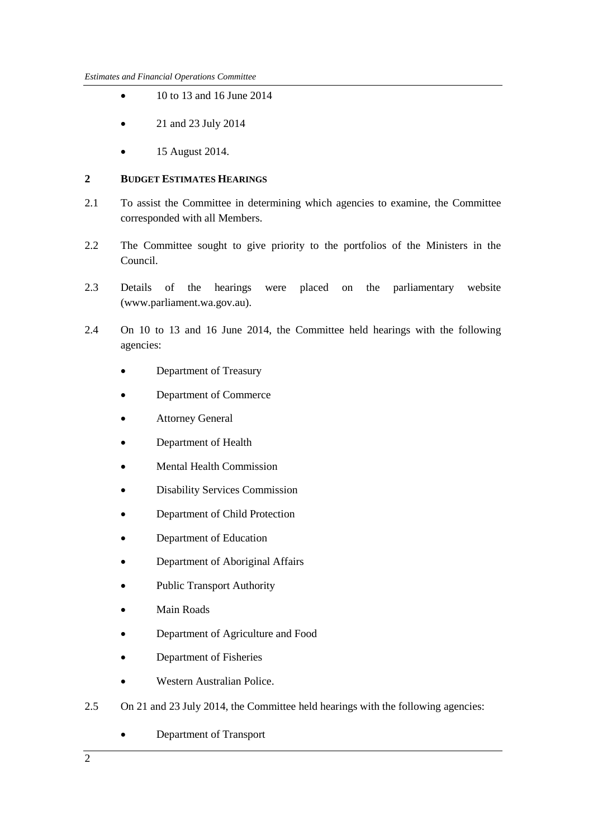- $\bullet$  10 to 13 and 16 June 2014
- 21 and 23 July 2014
- 15 August 2014.

#### <span id="page-5-0"></span>**2 BUDGET ESTIMATES HEARINGS**

- 2.1 To assist the Committee in determining which agencies to examine, the Committee corresponded with all Members.
- 2.2 The Committee sought to give priority to the portfolios of the Ministers in the Council.
- 2.3 Details of the hearings were placed on the parliamentary website (www.parliament.wa.gov.au).
- 2.4 On 10 to 13 and 16 June 2014, the Committee held hearings with the following agencies:
	- Department of Treasury
	- Department of Commerce
	- Attorney General
	- Department of Health
	- Mental Health Commission
	- Disability Services Commission
	- Department of Child Protection
	- Department of Education
	- Department of Aboriginal Affairs
	- Public Transport Authority
	- Main Roads
	- Department of Agriculture and Food
	- Department of Fisheries
	- Western Australian Police.
- 2.5 On 21 and 23 July 2014, the Committee held hearings with the following agencies:
	- Department of Transport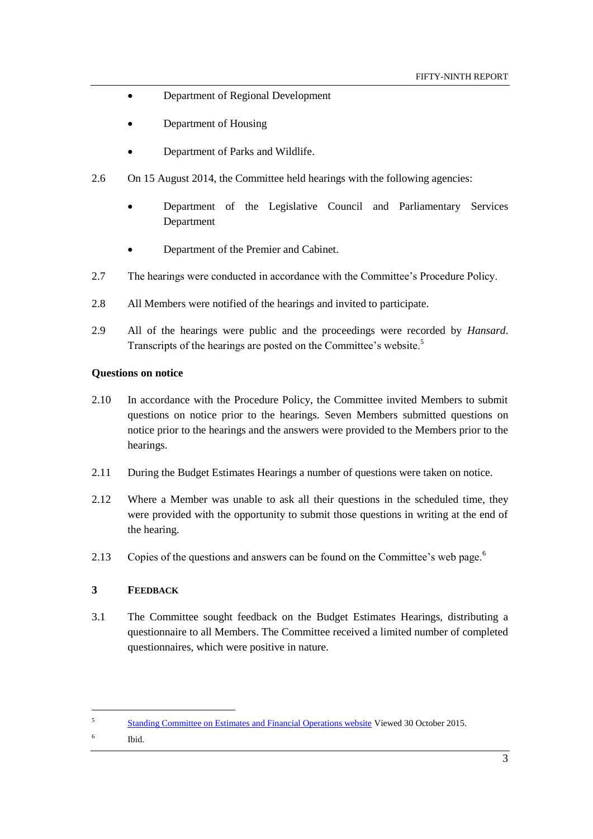- Department of Regional Development
- Department of Housing
- Department of Parks and Wildlife.
- 2.6 On 15 August 2014, the Committee held hearings with the following agencies:
	- Department of the Legislative Council and Parliamentary Services Department
	- Department of the Premier and Cabinet.
- 2.7 The hearings were conducted in accordance with the Committee's Procedure Policy.
- 2.8 All Members were notified of the hearings and invited to participate.
- 2.9 All of the hearings were public and the proceedings were recorded by *Hansard*. Transcripts of the hearings are posted on the Committee's website.<sup>5</sup>

#### <span id="page-6-0"></span>**Questions on notice**

- 2.10 In accordance with the Procedure Policy, the Committee invited Members to submit questions on notice prior to the hearings. Seven Members submitted questions on notice prior to the hearings and the answers were provided to the Members prior to the hearings.
- 2.11 During the Budget Estimates Hearings a number of questions were taken on notice.
- 2.12 Where a Member was unable to ask all their questions in the scheduled time, they were provided with the opportunity to submit those questions in writing at the end of the hearing.
- 2.13 Copies of the questions and answers can be found on the Committee's web page.<sup>6</sup>

#### <span id="page-6-1"></span>**3 FEEDBACK**

3.1 The Committee sought feedback on the Budget Estimates Hearings, distributing a questionnaire to all Members. The Committee received a limited number of completed questionnaires, which were positive in nature.

 $\overline{a}$ 

<sup>5</sup> [Standing Committee on Estimates and Financial Operations website](http://intranet/parliament/commit.nsf/(EvidenceOnly)/EBB7953B229E7A6048257C0D001BFEEC?opendocument) Viewed 30 October 2015.

<sup>6</sup> Ibid.